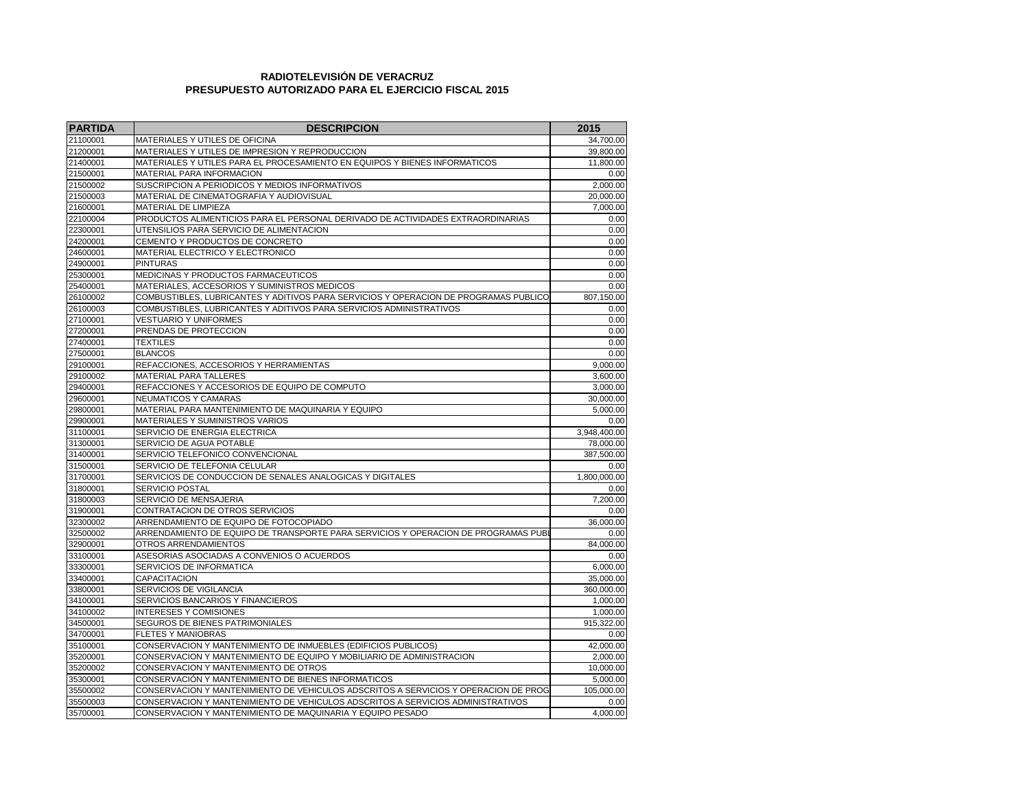## **RADIOTELEVISIÓN DE VERACRUZ PRESUPUESTO AUTORIZADO PARA EL EJERCICIO FISCAL 2015**

| <b>PARTIDA</b> | <b>DESCRIPCION</b>                                                                   | 2015                  |
|----------------|--------------------------------------------------------------------------------------|-----------------------|
| 21100001       | MATERIALES Y UTILES DE OFICINA                                                       | 34,700.00             |
| 21200001       | MATERIALES Y UTILES DE IMPRESION Y REPRODUCCION                                      | 39,800.00             |
| 21400001       | MATERIALES Y UTILES PARA EL PROCESAMIENTO EN EQUIPOS Y BIENES INFORMATICOS           | 11,800.00             |
| 21500001       | MATERIAL PARA INFORMACION                                                            | 0.00                  |
| 21500002       | SUSCRIPCION A PERIODICOS Y MEDIOS INFORMATIVOS                                       | 2.000.00              |
| 21500003       | MATERIAL DE CINEMATOGRAFIA Y AUDIOVISUAL                                             | 20,000.00             |
| 21600001       | MATERIAL DE LIMPIEZA                                                                 | 7,000.00              |
| 22100004       | PRODUCTOS ALIMENTICIOS PARA EL PERSONAL DERIVADO DE ACTIVIDADES EXTRAORDINARIAS      | 0.00                  |
| 22300001       | UTENSILIOS PARA SERVICIO DE ALIMENTACION                                             | 0.00                  |
| 24200001       | CEMENTO Y PRODUCTOS DE CONCRETO                                                      |                       |
| 24600001       | MATERIAL ELECTRICO Y ELECTRONICO                                                     | 0.00                  |
| 24900001       | <b>PINTURAS</b>                                                                      | 0.00                  |
| 25300001       | MEDICINAS Y PRODUCTOS FARMACEUTICOS                                                  | 0.00                  |
| 25400001       | MATERIALES, ACCESORIOS Y SUMINISTROS MEDICOS                                         | 0.00                  |
| 26100002       | COMBUSTIBLES, LUBRICANTES Y ADITIVOS PARA SERVICIOS Y OPERACION DE PROGRAMAS PUBLICO | 807,150.00            |
| 26100003       | COMBUSTIBLES, LUBRICANTES Y ADITIVOS PARA SERVICIOS ADMINISTRATIVOS                  | 0.00                  |
| 27100001       | <b>VESTUARIO Y UNIFORMES</b>                                                         | 0.00                  |
| 27200001       | PRENDAS DE PROTECCION                                                                | 0.00                  |
| 27400001       | TEXTILES                                                                             | 0.00                  |
| 27500001       | <b>BLANCOS</b>                                                                       | 0.00                  |
| 29100001       | REFACCIONES, ACCESORIOS Y HERRAMIENTAS                                               | 9,000.00              |
| 29100002       | MATERIAL PARA TALLERES                                                               | 3,600.00              |
| 29400001       | REFACCIONES Y ACCESORIOS DE EQUIPO DE COMPUTO                                        | 3,000.00              |
| 29600001       | NEUMATICOS Y CAMARAS                                                                 |                       |
| 29800001       | MATERIAL PARA MANTENIMIENTO DE MAQUINARIA Y EQUIPO                                   | 30,000.00<br>5,000.00 |
| 29900001       | MATERIALES Y SUMINISTROS VARIOS                                                      | 0.00                  |
| 31100001       | SERVICIO DE ENERGIA ELECTRICA                                                        | 3,948,400.00          |
| 31300001       | SERVICIO DE AGUA POTABLE                                                             | 78,000.00             |
| 31400001       | SERVICIO TELEFONICO CONVENCIONAL                                                     | 387,500.00            |
| 31500001       | SERVICIO DE TELEFONIA CELULAR                                                        |                       |
| 31700001       | SERVICIOS DE CONDUCCION DE SENALES ANALOGICAS Y DIGITALES                            |                       |
| 31800001       | SERVICIO POSTAL                                                                      | 1,800,000.00<br>0.00  |
| 31800003       | SERVICIO DE MENSAJERIA                                                               |                       |
| 31900001       | CONTRATACION DE OTROS SERVICIOS                                                      |                       |
| 32300002       | ARRENDAMIENTO DE EQUIPO DE FOTOCOPIADO                                               |                       |
| 32500002       | ARRENDAMIENTO DE EQUIPO DE TRANSPORTE PARA SERVICIOS Y OPERACION DE PROGRAMAS PUBL   | 36,000.00<br>0.00     |
| 32900001       | OTROS ARRENDAMIENTOS                                                                 | 84,000.00             |
| 33100001       | ASESORIAS ASOCIADAS A CONVENIOS O ACUERDOS                                           | 0.00                  |
| 33300001       | SERVICIOS DE INFORMATICA                                                             | 6,000.00              |
| 33400001       | CAPACITACION                                                                         | 35,000.00             |
| 33800001       | SERVICIOS DE VIGILANCIA                                                              | 360,000.00            |
| 34100001       | SERVICIOS BANCARIOS Y FINANCIEROS                                                    | 1,000.00              |
| 34100002       | <b>INTERESES Y COMISIONES</b>                                                        | 1,000.00              |
| 34500001       | SEGUROS DE BIENES PATRIMONIALES                                                      | 915,322.00            |
| 34700001       | <b>FLETES Y MANIOBRAS</b>                                                            | 0.00                  |
| 35100001       | CONSERVACION Y MANTENIMIENTO DE INMUEBLES (EDIFICIOS PUBLICOS)                       | 42,000.00             |
| 35200001       | CONSERVACION Y MANTENIMIENTO DE EQUIPO Y MOBILIARIO DE ADMINISTRACION                | 2.000.00              |
| 35200002       | CONSERVACION Y MANTENIMIENTO DE OTROS                                                | 10,000.00             |
| 35300001       | CONSERVACIÓN Y MANTENIMIENTO DE BIENES INFORMATICOS                                  | 5,000.00              |
| 35500002       | CONSERVACION Y MANTENIMIENTO DE VEHICULOS ADSCRITOS A SERVICIOS Y OPERACION DE PROG  | 105,000.00            |
| 35500003       | CONSERVACION Y MANTENIMIENTO DE VEHICULOS ADSCRITOS A SERVICIOS ADMINISTRATIVOS      | 0.00                  |
| 35700001       | CONSERVACION Y MANTENIMIENTO DE MAQUINARIA Y EQUIPO PESADO                           | 4,000.00              |
|                |                                                                                      |                       |